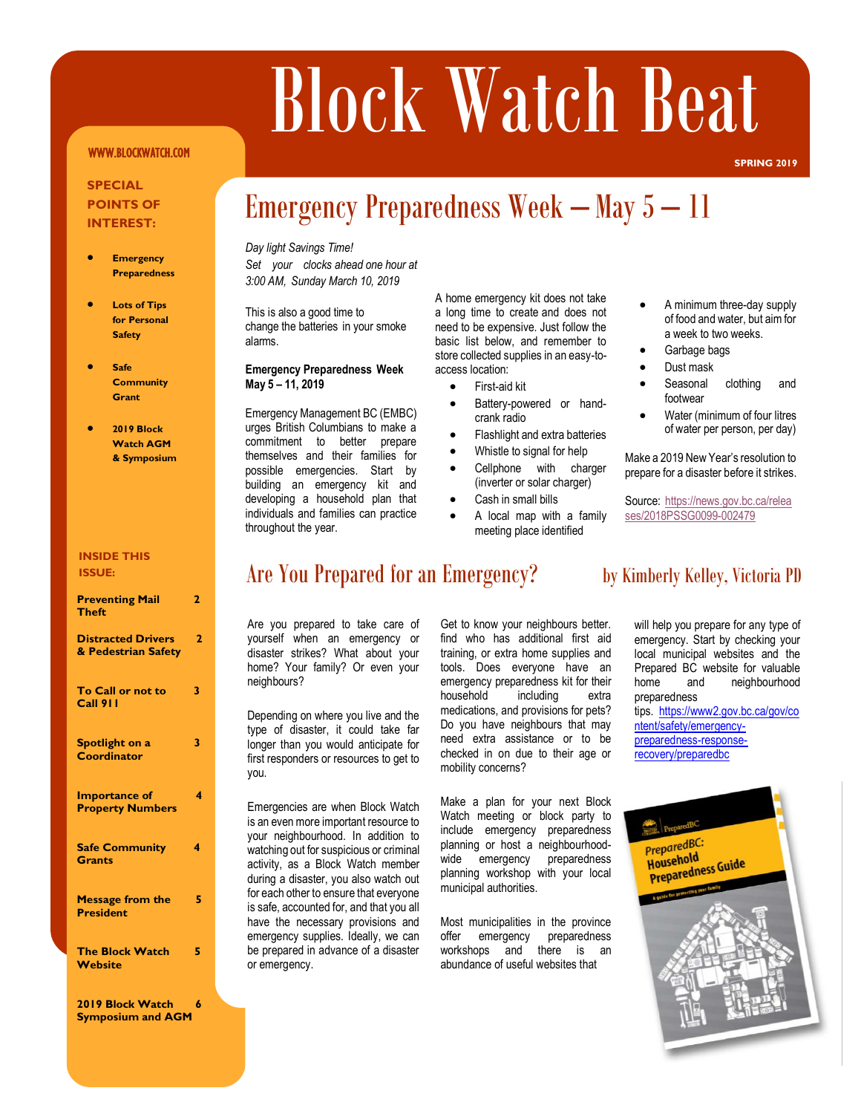# Block Watch Beat

### WWW.BLOCKWATCH.COM

### **SPECIAL POINTS OF INTEREST:**

- **Emergency Preparedness**
- **Lots of Tips for Personal Safety**
- **Safe Community Grant**
- **2019 Block Watch AGM & Symposium**

#### **INSIDE THIS ISSUE:**

### **Preventing Mail 2 Theft Distracted Drivers 2 & Pedestrian Safety To Call or not to 3 Call 911 Spotlight on a** 3 **Coordinator Importance of 4 Property Numbers Safe Community 4 Grants Message from the 5 President The Block Watch 5 Website**

**2019 Block Watch 6 Symposium and AGM**

#### *Day light Savings Time! Set your clocks ahead one hour at 3:00 AM, Sunday March 10, 2019*  $\frac{D}{S}$

This is also a good time to change the batteries in your smoke alarms.

### **Emergency Preparedness Week May 5 – 11, 2019**

Emergency Management BC (EMBC) urges British Columbians to make a commitment to better prepare themselves and their families for possible emergencies. Start by building an emergency kit and developing a household plan that individuals and families can practice throughout the year.

A home emergency kit does not take a long time to create and does not need to be expensive. Just follow the basic list below, and remember to store collected supplies in an easy-toaccess location:

• First-aid kit

Emergency Preparedness Week – May 5 – 11

- Battery-powered or handcrank radio
- Flashlight and extra batteries
- Whistle to signal for help
- Cellphone with charger (inverter or solar charger)
- Cash in small bills
- A local map with a family meeting place identified

• A minimum three-day supply of food and water, but aim for a week to two weeks.

**SPRING 2019**

- Garbage bags
- Dust mask
- Seasonal clothing and footwear
- Water (minimum of four litres of water per person, per day)

Make a 2019 New Year's resolution to prepare for a disaster before it strikes.

Source: [https://news.gov.bc.ca/relea](https://news.gov.bc.ca/releases/2018PSSG0099-002479) [ses/2018PSSG0099-002479](https://news.gov.bc.ca/releases/2018PSSG0099-002479)

### Are You Prepared for an Emergency? by Kimberly Kelley, Victoria PD

Are you prepared to take care of yourself when an emergency or disaster strikes? What about your home? Your family? Or even your neighbours?

Depending on where you live and the type of disaster, it could take far longer than you would anticipate for first responders or resources to get to you.

Emergencies are when Block Watch is an even more important resource to your neighbourhood. In addition to watching out for suspicious or criminal activity, as a Block Watch member during a disaster, you also watch out for each other to ensure that everyone is safe, accounted for, and that you all have the necessary provisions and emergency supplies. Ideally, we can be prepared in advance of a disaster or emergency.

Get to know your neighbours better. find who has additional first aid training, or extra home supplies and tools. Does everyone have an emergency preparedness kit for their<br>household including extra including extra medications, and provisions for pets? Do you have neighbours that may need extra assistance or to be checked in on due to their age or mobility concerns?

Make a plan for your next Block Watch meeting or block party to include emergency preparedness planning or host a neighbourhoodwide emergency preparedness planning workshop with your local municipal authorities.

Most municipalities in the province offer emergency preparedness workshops and there is an abundance of useful websites that

will help you prepare for any type of emergency. Start by checking your local municipal websites and the Prepared BC website for valuable home and neighbourhood preparedness

tips. [https://www2.gov.bc.ca/gov/co](https://www2.gov.bc.ca/gov/content/safety/emergency-preparedness-response-recovery/preparedbc) [ntent/safety/emergency](https://www2.gov.bc.ca/gov/content/safety/emergency-preparedness-response-recovery/preparedbc)[preparedness-response](https://www2.gov.bc.ca/gov/content/safety/emergency-preparedness-response-recovery/preparedbc)[recovery/preparedbc](https://www2.gov.bc.ca/gov/content/safety/emergency-preparedness-response-recovery/preparedbc)

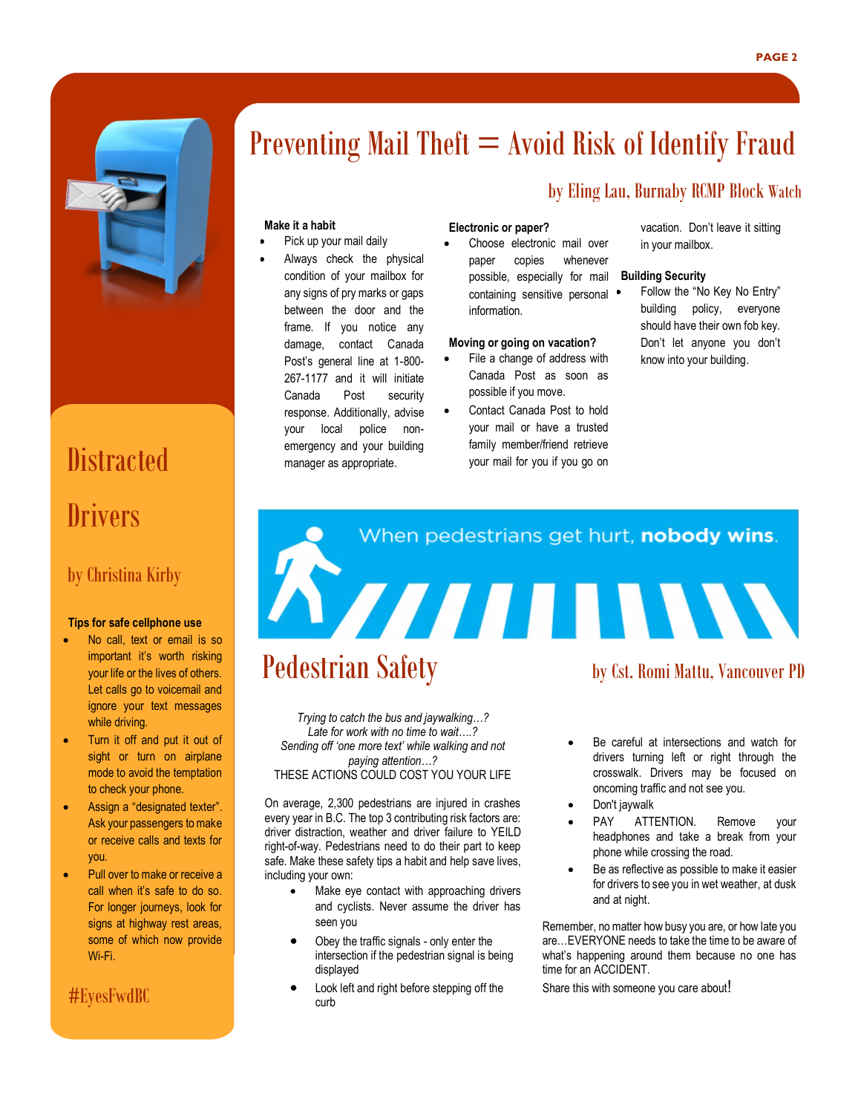

# **Distracted Drivers**

### by Christina Kirby

#### **Tips for safe cellphone use**

- No call, text or email is so important it's worth risking your life or the lives of others. Let calls go to voicemail and ignore your text messages while driving.
- Turn it off and put it out of sight or turn on airplane mode to avoid the temptation to check your phone.
- Assign a "designated texter". Ask your passengers to make or receive calls and texts for you.
- Pull over to make or receive a call when it's safe to do so. For longer journeys, look for signs at highway rest areas, some of which now provide Wi-Fi.

### #EyesFwdBC

## Preventing Mail Theft  $=$  Avoid Risk of Identify Fraud

### **Make it a habit**

- Pick up your mail daily
- Always check the physical condition of your mailbox for any signs of pry marks or gaps between the door and the frame. If you notice any damage, contact Canada Post's general line at 1-800- 267-1177 and it will initiate Canada Post security response. Additionally, advise your local police nonemergency and your building manager as appropriate.

### **Electronic or paper?**

Choose electronic mail over paper copies whenever possible, especially for mail containing sensitive personal information.

#### **Moving or going on vacation?**

- File a change of address with Canada Post as soon as possible if you move.
- Contact Canada Post to hold your mail or have a trusted family member/friend retrieve your mail for you if you go on

vacation. Don't leave it sitting in your mailbox.

#### **Building Security**

by Eling Lau, Burnaby RCMP Block Watch

Follow the "No Key No Entry" building policy, everyone should have their own fob key. Don't let anyone you don't know into your building.

# Pedestrian Safety<br>Pedestrian Safety by Cst. Romi Mattu, Vancouver PD When pedestrians get hurt, nobody wins. Insurance Corporation of BC

*Trying to catch the bus and jaywalking…? Late for work with no time to wait….? Sending off 'one more text' while walking and not paying attention…?* THESE ACTIONS COULD COST YOU YOUR LIFE

On average, 2,300 pedestrians are injured in crashes every year in B.C. The top 3 contributing risk factors are: driver distraction, weather and driver failure to YEILD right-of-way. Pedestrians need to do their part to keep safe. Make these safety tips a habit and help save lives, including your own:

- Make eye contact with approaching drivers and cyclists. Never assume the driver has seen you
- Obey the traffic signals only enter the intersection if the pedestrian signal is being displayed
- Look left and right before stepping off the curb
- Be careful at intersections and watch for drivers turning left or right through the crosswalk. Drivers may be focused on oncoming traffic and not see you.
- Don't jaywalk
- PAY ATTENTION. Remove your headphones and take a break from your phone while crossing the road.
- Be as reflective as possible to make it easier for drivers to see you in wet weather, at dusk and at night.

Remember, no matter how busy you are, or how late you are…EVERYONE needs to take the time to be aware of what's happening around them because no one has time for an ACCIDENT.

Share this with someone you care about!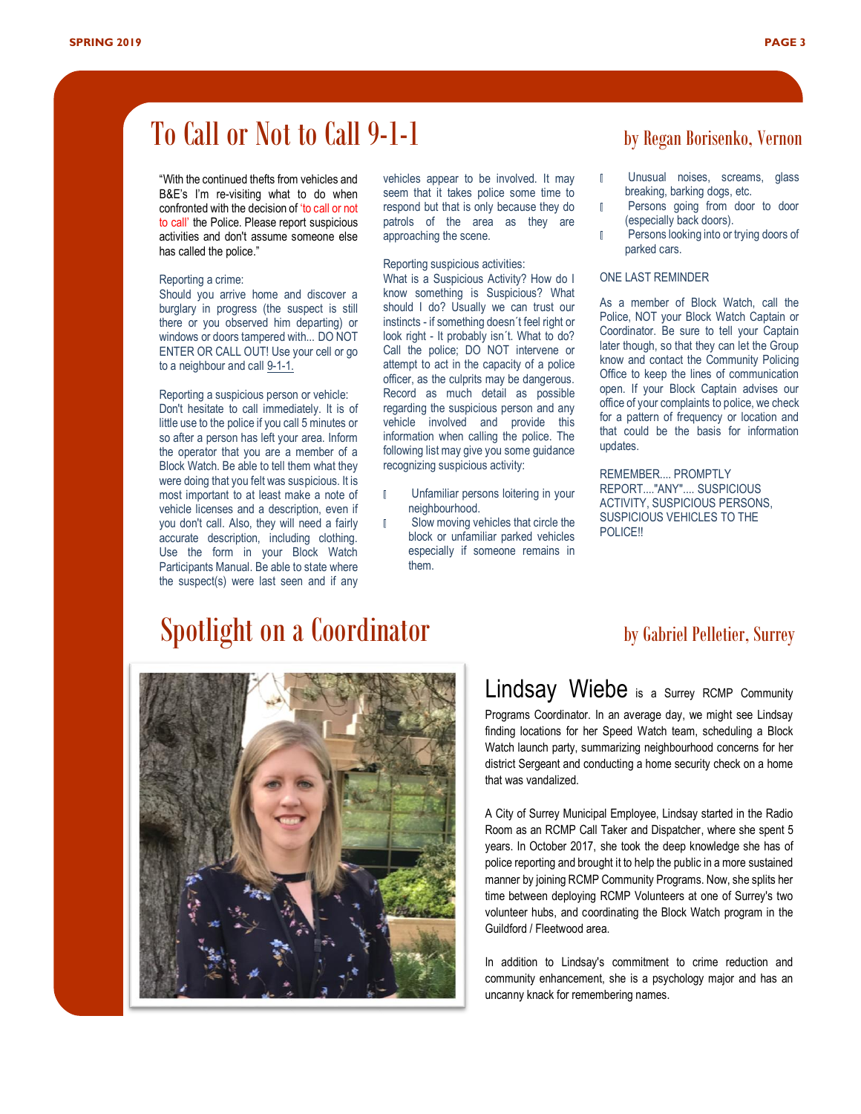## To Call or Not to Call 9-1-1 by Regan Borisenko, Vernon

"With the continued thefts from vehicles and B&E's I'm re-visiting what to do when confronted with the decision of 'to call or not to call' the Police. Please report suspicious activities and don't assume someone else has called the police."

#### Reporting a crime:

Should you arrive home and discover a burglary in progress (the suspect is still there or you observed him departing) or windows or doors tampered with... DO NOT ENTER OR CALL OUT! Use your cell or go to a neighbour and call 9-1-1.

Reporting a suspicious person or vehicle: Don't hesitate to call immediately. It is of little use to the police if you call 5 minutes or so after a person has left your area. Inform the operator that you are a member of a Block Watch. Be able to tell them what they were doing that you felt was suspicious. It is most important to at least make a note of vehicle licenses and a description, even if you don't call. Also, they will need a fairly accurate description, including clothing. Use the form in your Block Watch Participants Manual. Be able to state where the suspect(s) were last seen and if any vehicles appear to be involved. It may seem that it takes police some time to respond but that is only because they do patrols of the area as they are approaching the scene.

### Reporting suspicious activities:

What is a Suspicious Activity? How do I know something is Suspicious? What should I do? Usually we can trust our instincts - if something doesn´t feel right or look right - It probably isn´t. What to do? Call the police; DO NOT intervene or attempt to act in the capacity of a police officer, as the culprits may be dangerous. Record as much detail as possible regarding the suspicious person and any vehicle involved and provide this information when calling the police. The following list may give you some guidance recognizing suspicious activity:

- Unfamiliar persons loitering in your neighbourhood.
- **I** Slow moving vehicles that circle the block or unfamiliar parked vehicles especially if someone remains in them.

- Il Unusual noises, screams, glass breaking, barking dogs, etc.
- **Ill** Persons going from door to door (especially back doors).
- **Persons looking into or trying doors of** parked cars.

### ONE LAST REMINDER

As a member of Block Watch, call the Police, NOT your Block Watch Captain or Coordinator. Be sure to tell your Captain later though, so that they can let the Group know and contact the Community Policing Office to keep the lines of communication open. If your Block Captain advises our office of your complaints to police, we check for a pattern of frequency or location and that could be the basis for information updates.

REMEMBER.... PROMPTLY REPORT...."ANY".... SUSPICIOUS ACTIVITY, SUSPICIOUS PERSONS, SUSPICIOUS VEHICLES TO THE POLICE!!

# Spotlight on a Coordinator by Gabriel Pelletier, Surrey



### Lindsay Wiebe is a Surrey RCMP Community

Programs Coordinator. In an average day, we might see Lindsay finding locations for her Speed Watch team, scheduling a Block Watch launch party, summarizing neighbourhood concerns for her district Sergeant and conducting a home security check on a home that was vandalized.

A City of Surrey Municipal Employee, Lindsay started in the Radio Room as an RCMP Call Taker and Dispatcher, where she spent 5 years. In October 2017, she took the deep knowledge she has of police reporting and brought it to help the public in a more sustained manner by joining RCMP Community Programs. Now, she splits her time between deploying RCMP Volunteers at one of Surrey's two volunteer hubs, and coordinating the Block Watch program in the Guildford / Fleetwood area.

In addition to Lindsay's commitment to crime reduction and community enhancement, she is a psychology major and has an uncanny knack for remembering names.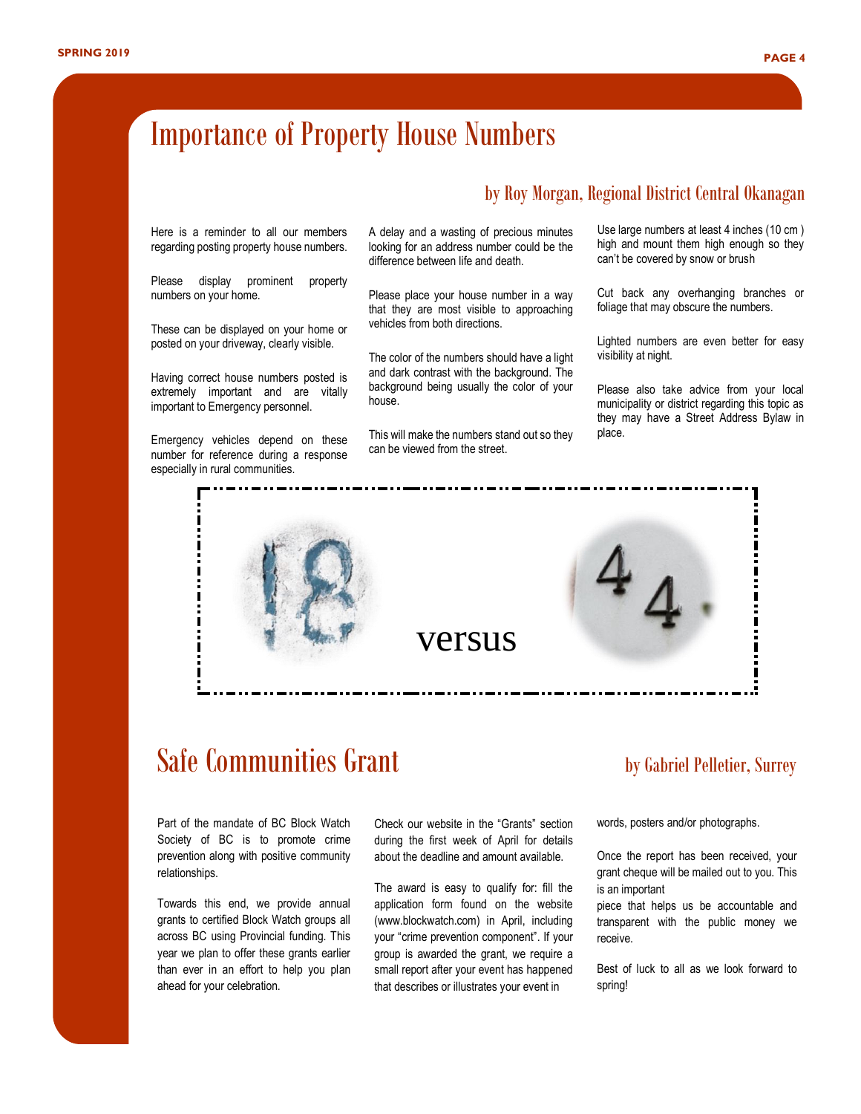## Importance of Property House Numbers

### by Roy Morgan, Regional District Central Okanagan

Here is a reminder to all our members regarding posting property house numbers.

Please display prominent property numbers on your home.

These can be displayed on your home or posted on your driveway, clearly visible.

Having correct house numbers posted is extremely important and are vitally important to Emergency personnel.

Emergency vehicles depend on these number for reference during a response especially in rural communities.

A delay and a wasting of precious minutes looking for an address number could be the difference between life and death.

Please place your house number in a way that they are most visible to approaching vehicles from both directions.

The color of the numbers should have a light and dark contrast with the background. The background being usually the color of your house.

This will make the numbers stand out so they can be viewed from the street.

Use large numbers at least 4 inches (10 cm ) high and mount them high enough so they can't be covered by snow or brush

Cut back any overhanging branches or foliage that may obscure the numbers.

Lighted numbers are even better for easy visibility at night.

Please also take advice from your local municipality or district regarding this topic as they may have a Street Address Bylaw in place.



## Safe Communities Grant by Gabriel Pelletier, Surrey

Part of the mandate of BC Block Watch Society of BC is to promote crime prevention along with positive community relationships.

Towards this end, we provide annual grants to certified Block Watch groups all across BC using Provincial funding. This year we plan to offer these grants earlier than ever in an effort to help you plan ahead for your celebration.

Check our website in the "Grants" section during the first week of April for details about the deadline and amount available.

The award is easy to qualify for: fill the application form found on the website (www.blockwatch.com) in April, including your "crime prevention component". If your group is awarded the grant, we require a small report after your event has happened that describes or illustrates your event in

words, posters and/or photographs.

Once the report has been received, your grant cheque will be mailed out to you. This is an important

piece that helps us be accountable and transparent with the public money we receive.

Best of luck to all as we look forward to spring!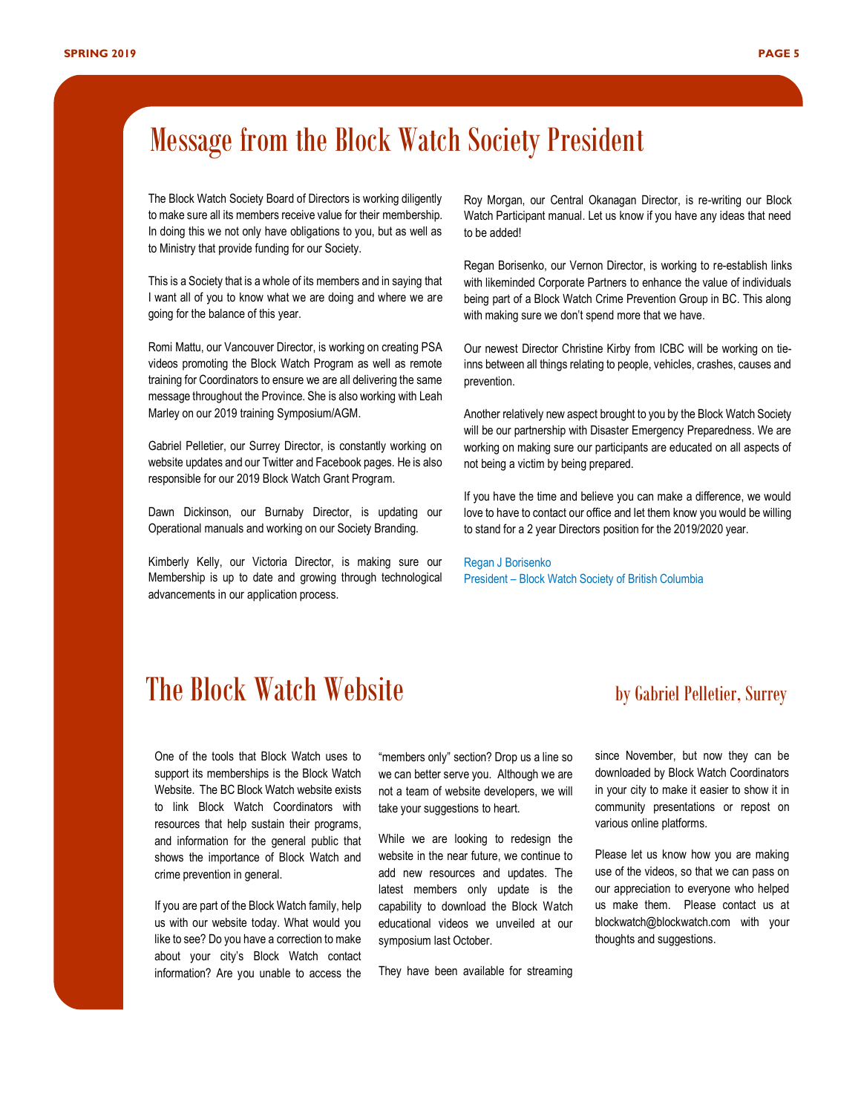## Message from the Block Watch Society President

The Block Watch Society Board of Directors is working diligently to make sure all its members receive value for their membership. In doing this we not only have obligations to you, but as well as to Ministry that provide funding for our Society.

This is a Society that is a whole of its members and in saying that I want all of you to know what we are doing and where we are going for the balance of this year.

Romi Mattu, our Vancouver Director, is working on creating PSA videos promoting the Block Watch Program as well as remote training for Coordinators to ensure we are all delivering the same message throughout the Province. She is also working with Leah Marley on our 2019 training Symposium/AGM.

Gabriel Pelletier, our Surrey Director, is constantly working on website updates and our Twitter and Facebook pages. He is also responsible for our 2019 Block Watch Grant Program.

Dawn Dickinson, our Burnaby Director, is updating our Operational manuals and working on our Society Branding.

Kimberly Kelly, our Victoria Director, is making sure our Membership is up to date and growing through technological advancements in our application process.

Roy Morgan, our Central Okanagan Director, is re-writing our Block Watch Participant manual. Let us know if you have any ideas that need to be added!

Regan Borisenko, our Vernon Director, is working to re-establish links with likeminded Corporate Partners to enhance the value of individuals being part of a Block Watch Crime Prevention Group in BC. This along with making sure we don't spend more that we have.

Our newest Director Christine Kirby from ICBC will be working on tieinns between all things relating to people, vehicles, crashes, causes and prevention.

Another relatively new aspect brought to you by the Block Watch Society will be our partnership with Disaster Emergency Preparedness. We are working on making sure our participants are educated on all aspects of not being a victim by being prepared.

If you have the time and believe you can make a difference, we would love to have to contact our office and let them know you would be willing to stand for a 2 year Directors position for the 2019/2020 year.

Regan J Borisenko President – Block Watch Society of British Columbia

### **The Block Watch Website** by Gabriel Pelletier, Surrey

One of the tools that Block Watch uses to support its memberships is the Block Watch Website. The BC Block Watch website exists to link Block Watch Coordinators with resources that help sustain their programs, and information for the general public that shows the importance of Block Watch and crime prevention in general.

If you are part of the Block Watch family, help us with our website today. What would you like to see? Do you have a correction to make about your city's Block Watch contact information? Are you unable to access the

"members only" section? Drop us a line so we can better serve you. Although we are not a team of website developers, we will take your suggestions to heart.

While we are looking to redesign the website in the near future, we continue to add new resources and updates. The latest members only update is the capability to download the Block Watch educational videos we unveiled at our symposium last October.

They have been available for streaming

since November, but now they can be downloaded by Block Watch Coordinators in your city to make it easier to show it in community presentations or repost on various online platforms.

Please let us know how you are making use of the videos, so that we can pass on our appreciation to everyone who helped us make them. Please contact us at [blockwatch@blockwatch.com](mailto:blockwatch@blockwatch.com) with your thoughts and suggestions.